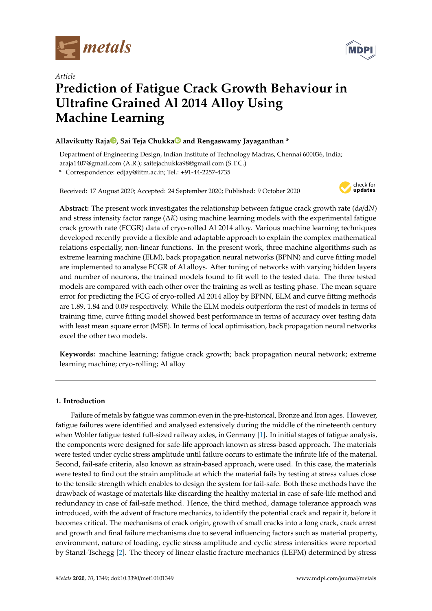



# *Article* **Prediction of Fatigue Crack Growth Behaviour in Ultrafine Grained Al 2014 Alloy Using Machine Learning**

# **Allavikutty Raja , Sai Teja Chukka and Rengaswamy Jayaganthan \***

Department of Engineering Design, Indian Institute of Technology Madras, Chennai 600036, India; araja1407@gmail.com (A.R.); saitejachukka98@gmail.com (S.T.C.)

**\*** Correspondence: edjay@iitm.ac.in; Tel.: +91-44-2257-4735

Received: 17 August 2020; Accepted: 24 September 2020; Published: 9 October 2020



**Abstract:** The present work investigates the relationship between fatigue crack growth rate (d*a*/d*N*) and stress intensity factor range (∆*K*) using machine learning models with the experimental fatigue crack growth rate (FCGR) data of cryo-rolled Al 2014 alloy. Various machine learning techniques developed recently provide a flexible and adaptable approach to explain the complex mathematical relations especially, non-linear functions. In the present work, three machine algorithms such as extreme learning machine (ELM), back propagation neural networks (BPNN) and curve fitting model are implemented to analyse FCGR of Al alloys. After tuning of networks with varying hidden layers and number of neurons, the trained models found to fit well to the tested data. The three tested models are compared with each other over the training as well as testing phase. The mean square error for predicting the FCG of cryo-rolled Al 2014 alloy by BPNN, ELM and curve fitting methods are 1.89, 1.84 and 0.09 respectively. While the ELM models outperform the rest of models in terms of training time, curve fitting model showed best performance in terms of accuracy over testing data with least mean square error (MSE). In terms of local optimisation, back propagation neural networks excel the other two models.

**Keywords:** machine learning; fatigue crack growth; back propagation neural network; extreme learning machine; cryo-rolling; Al alloy

## **1. Introduction**

Failure of metals by fatigue was common even in the pre-historical, Bronze and Iron ages. However, fatigue failures were identified and analysed extensively during the middle of the nineteenth century when Wohler fatigue tested full-sized railway axles, in Germany [1]. In initial stages of fatigue analysis, the components were designed for safe-life approach known as stress-based approach. The materials were tested under cyclic stress amplitude until failure occurs to estimate the infinite life of the material. Second, fail-safe criteria, also known as strain-based approach, were used. In this case, the materials were tested to find out the strain amplitude at which the material fails by testing at stress values close to the tensile strength which enables to design the system for fail-safe. Both these methods have the drawback of wastage of materials like discarding the healthy material in case of safe-life method and redundancy in case of fail-safe method. Hence, the third method, damage tolerance approach was introduced, with the advent of fracture mechanics, to identify the potential crack and repair it, before it becomes critical. The mechanisms of crack origin, growth of small cracks into a long crack, crack arrest and growth and final failure mechanisms due to several influencing factors such as material property, environment, nature of loading, cyclic stress amplitude and cyclic stress intensities were reported by Stanzl-Tschegg [2]. The theory of linear elastic fracture mechanics (LEFM) determined by stress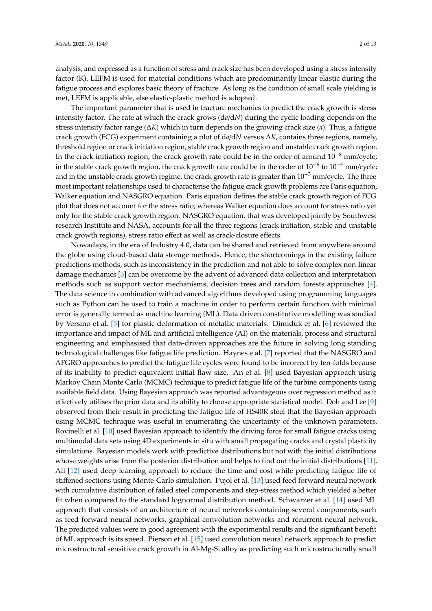analysis, and expressed as a function of stress and crack size has been developed using a stress intensity factor (K). LEFM is used for material conditions which are predominantly linear elastic during the fatigue process and explores basic theory of fracture. As long as the condition of small scale yielding is met, LEFM is applicable, else elastic-plastic method is adopted.

The important parameter that is used in fracture mechanics to predict the crack growth is stress intensity factor. The rate at which the crack grows (d*a*/d*N*) during the cyclic loading depends on the stress intensity factor range (∆*K*) which in turn depends on the growing crack size (*a*). Thus, a fatigue crack growth (FCG) experiment containing a plot of d*a*/d*N* versus ∆*K*, contains three regions, namely, threshold region or crack initiation region, stable crack growth region and unstable crack growth region. In the crack initiation region, the crack growth rate could be in the order of around 10−<sup>8</sup> mm/cycle; in the stable crack growth region, the crack growth rate could be in the order of  $10^{-6}$  to  $10^{-4}$  mm/cycle; and in the unstable crack growth regime, the crack growth rate is greater than  $10^{-3}$  mm/cycle. The three most important relationships used to characterise the fatigue crack growth problems are Paris equation, Walker equation and NASGRO equation. Paris equation defines the stable crack growth region of FCG plot that does not account for the stress ratio; whereas Walker equation does account for stress ratio yet only for the stable crack growth region. NASGRO equation, that was developed jointly by Southwest research Institute and NASA, accounts for all the three regions (crack initiation, stable and unstable crack growth regions), stress ratio effect as well as crack-closure effects.

Nowadays, in the era of Industry 4.0, data can be shared and retrieved from anywhere around the globe using cloud-based data storage methods. Hence, the shortcomings in the existing failure predictions methods, such as inconsistency in the prediction and not able to solve complex non-linear damage mechanics [3] can be overcome by the advent of advanced data collection and interpretation methods such as support vector mechanisms, decision trees and random forests approaches [4]. The data science in combination with advanced algorithms developed using programming languages such as Python can be used to train a machine in order to perform certain function with minimal error is generally termed as machine learning (ML). Data driven constitutive modelling was studied by Versino et al. [5] for plastic deformation of metallic materials. Dimiduk et al. [6] reviewed the importance and impact of ML and artificial intelligence (AI) on the materials, process and structural engineering and emphasised that data-driven approaches are the future in solving long standing technological challenges like fatigue life prediction. Haynes e al. [7] reported that the NASGRO and AFGRO approaches to predict the fatigue life cycles were found to be incorrect by ten-folds because of its inability to predict equivalent initial flaw size. An et al. [8] used Bayesian approach using Markov Chain Monte Carlo (MCMC) technique to predict fatigue life of the turbine components using available field data. Using Bayesian approach was reported advantageous over regression method as it effectively utilises the prior data and its ability to choose appropriate statistical model. Doh and Lee [9] observed from their result in predicting the fatigue life of HS40R steel that the Bayesian approach using MCMC technique was useful in enumerating the uncertainty of the unknown parameters. Rovinelli et al. [10] used Bayesian approach to identify the driving force for small fatigue cracks using multimodal data sets using 4D experiments in situ with small propagating cracks and crystal plasticity simulations. Bayesian models work with predictive distributions but not with the initial distributions whose weights arise from the posterior distribution and helps to find out the initial distributions [11]. Ali [12] used deep learning approach to reduce the time and cost while predicting fatigue life of stiffened sections using Monte-Carlo simulation. Pujol et al. [13] used feed forward neural network with cumulative distribution of failed steel components and step-stress method which yielded a better fit when compared to the standard lognormal distribution method. Schwarzer et al. [14] used ML approach that consists of an architecture of neural networks containing several components, such as feed forward neural networks, graphical convolution networks and recurrent neural network. The predicted values were in good agreement with the experimental results and the significant benefit of ML approach is its speed. Pierson et al. [15] used convolution neural network approach to predict microstructural sensitive crack growth in Al-Mg-Si alloy as predicting such microstructurally small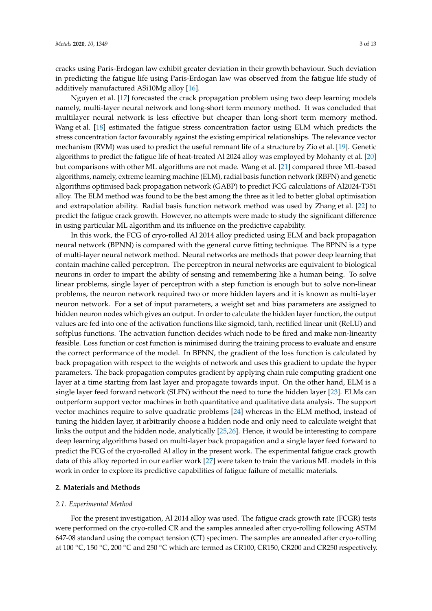cracks using Paris-Erdogan law exhibit greater deviation in their growth behaviour. Such deviation in predicting the fatigue life using Paris-Erdogan law was observed from the fatigue life study of additively manufactured ASi10Mg alloy [16].

Nguyen et al. [17] forecasted the crack propagation problem using two deep learning models namely, multi-layer neural network and long-short term memory method. It was concluded that multilayer neural network is less effective but cheaper than long-short term memory method. Wang et al. [18] estimated the fatigue stress concentration factor using ELM which predicts the stress concentration factor favourably against the existing empirical relationships. The relevance vector mechanism (RVM) was used to predict the useful remnant life of a structure by Zio et al. [19]. Genetic algorithms to predict the fatigue life of heat-treated Al 2024 alloy was employed by Mohanty et al. [20] but comparisons with other ML algorithms are not made. Wang et al. [21] compared three ML-based algorithms, namely, extreme learning machine (ELM), radial basis function network (RBFN) and genetic algorithms optimised back propagation network (GABP) to predict FCG calculations of Al2024-T351 alloy. The ELM method was found to be the best among the three as it led to better global optimisation and extrapolation ability. Radial basis function network method was used by Zhang et al. [22] to predict the fatigue crack growth. However, no attempts were made to study the significant difference in using particular ML algorithm and its influence on the predictive capability.

In this work, the FCG of cryo-rolled Al 2014 alloy predicted using ELM and back propagation neural network (BPNN) is compared with the general curve fitting technique. The BPNN is a type of multi-layer neural network method. Neural networks are methods that power deep learning that contain machine called perceptron. The perceptron in neural networks are equivalent to biological neurons in order to impart the ability of sensing and remembering like a human being. To solve linear problems, single layer of perceptron with a step function is enough but to solve non-linear problems, the neuron network required two or more hidden layers and it is known as multi-layer neuron network. For a set of input parameters, a weight set and bias parameters are assigned to hidden neuron nodes which gives an output. In order to calculate the hidden layer function, the output values are fed into one of the activation functions like sigmoid, tanh, rectified linear unit (ReLU) and softplus functions. The activation function decides which node to be fired and make non-linearity feasible. Loss function or cost function is minimised during the training process to evaluate and ensure the correct performance of the model. In BPNN, the gradient of the loss function is calculated by back propagation with respect to the weights of network and uses this gradient to update the hyper parameters. The back-propagation computes gradient by applying chain rule computing gradient one layer at a time starting from last layer and propagate towards input. On the other hand, ELM is a single layer feed forward network (SLFN) without the need to tune the hidden layer [23]. ELMs can outperform support vector machines in both quantitative and qualitative data analysis. The support vector machines require to solve quadratic problems [24] whereas in the ELM method, instead of tuning the hidden layer, it arbitrarily choose a hidden node and only need to calculate weight that links the output and the hidden node, analytically [25,26]. Hence, it would be interesting to compare deep learning algorithms based on multi-layer back propagation and a single layer feed forward to predict the FCG of the cryo-rolled Al alloy in the present work. The experimental fatigue crack growth data of this alloy reported in our earlier work [27] were taken to train the various ML models in this work in order to explore its predictive capabilities of fatigue failure of metallic materials.

# **2. Materials and Methods**

#### *2.1. Experimental Method*

For the present investigation, Al 2014 alloy was used. The fatigue crack growth rate (FCGR) tests were performed on the cryo-rolled CR and the samples annealed after cryo-rolling following ASTM 647-08 standard using the compact tension (CT) specimen. The samples are annealed after cryo-rolling at 100 ◦C, 150 ◦C, 200 ◦C and 250 ◦C which are termed as CR100, CR150, CR200 and CR250 respectively.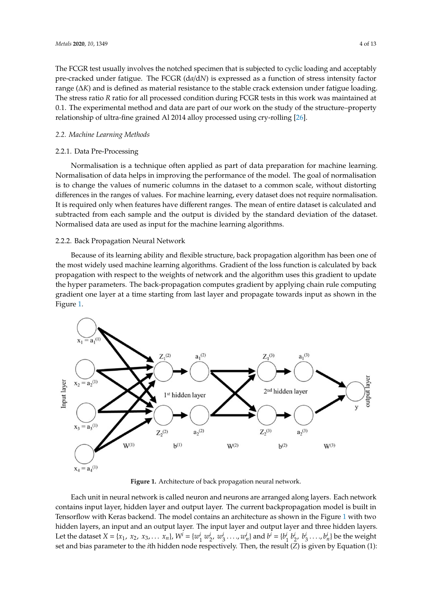The FCGR test usually involves the notched specimen that is subjected to cyclic loading and acceptably pre-cracked under fatigue. The FCGR (d*a*/d*N*) is expressed as a function of stress intensity factor *range* (Δ*K*) and is defined as material resistance to the stable crack extension under fatigue loading. The stress ratio *R* ratio for all processed condition during FCGR tests in this work was maintained at 0.1. The experimental method and data are part of our work on the study of the structure–property relationship of ultra-fine grained Al 2014 alloy processed using cry-rolling [26].

## *2.2. Machine Learning Methods*

## 2.2.1. Data Pre-Processing

Normalisation is a technique often applied as part of data preparation for machine learning. Normalisation of data helps in improving the performance of the model. The goal of normalisation is to change the values of numeric columns in the dataset to a common scale, without distorting differences in the ranges of values. For machine learning, every dataset does not require normalisation. It is required only when features have different ranges. The mean of entire dataset is calculated and subtracted from each sample and the output is divided by the standard deviation of the dataset. Normalised data are used as input for the machine learning algorithms.

## 2.2.2. Back Propagation Neural Network

Because of its learning ability and flexible structure, back propagation algorithm has been one of the most widely used machine learning algorithms. Gradient of the loss function is calculated by back propagation with respect to the weights of network and the algorithm uses this gradient to update the hyper parameters. The back-propagation computes gradient by applying chain rule computing gradient one layer at a time starting from last layer and propagate towards input as shown in the Figure 1.



**Figure 1.** Architecture of back propagation neural network.

set and bias parameter to the *i*th hidden node respectively. Then, the result (*Z*) is given by Equation (1): Each unit in neural network is called neuron and neurons are arranged along layers. Each network contains input layer, hidden layer and output layer. The current backpropagation model is built in Tensorflow with Keras backend. The model contains an architecture as shown in the Figure 1 with two hidden layers, an input and an output layer. The input layer and output layer and three hidden layers. Let the dataset  $X = \{x_1, x_2, x_3, ..., x_n\}$ ,  $W^i = \{w_1^i w_2^i, w_3^i ..., w_n^i\}$  and  $b^i = \{b_1^i b_2^i, b_3^i ..., b_n^i\}$  be the weight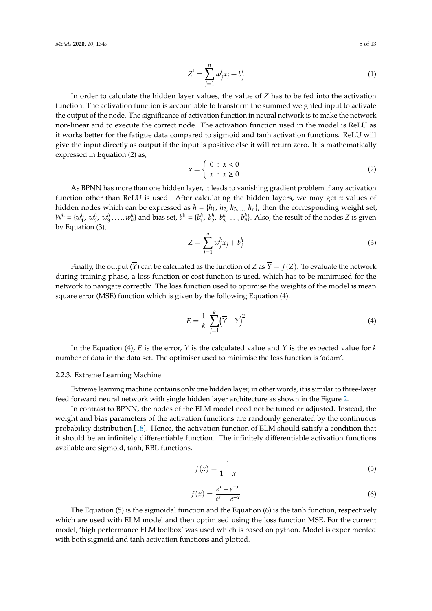$$
Z^i = \sum_{j=1}^n w_j^i x_j + b_j^i \tag{1}
$$

In order to calculate the hidden layer values, the value of *Z* has to be fed into the activation function. The activation function is accountable to transform the summed weighted input to activate the output of the node. The significance of activation function in neural network is to make the network non-linear and to execute the correct node. The activation function used in the model is ReLU as it works better for the fatigue data compared to sigmoid and tanh activation functions. ReLU will give the input directly as output if the input is positive else it will return zero. It is mathematically expressed in Equation (2) as,

$$
x = \begin{cases} 0: x < 0 \\ x: x \ge 0 \end{cases}
$$
 (2)

As BPNN has more than one hidden layer, it leads to vanishing gradient problem if any activation function other than ReLU is used. After calculating the hidden layers, we may get *n* values of hidden nodes which can be expressed as  $h = \{h_1, h_2, h_3, \dots, h_n\}$ , then the corresponding weight set,  $W^h = \{w_1^h, w_2^h, w_3^h, \ldots, w_n^h\}$  and bias set,  $b^h = \{b_1^h, b_2^h, b_3^h, \ldots, b_n^h\}$ . Also, the result of the nodes Z is given by Equation (3),

$$
Z = \sum_{j=1}^{n} w_j^h x_j + b_j^h \tag{3}
$$

Finally, the output  $(\overline{Y})$  can be calculated as the function of *Z* as  $\overline{Y} = f(Z)$ . To evaluate the network during training phase, a loss function or cost function is used, which has to be minimised for the network to navigate correctly. The loss function used to optimise the weights of the model is mean square error (MSE) function which is given by the following Equation (4).

$$
E = \frac{1}{k} \sum_{j=1}^{k} (\overline{Y} - Y)^2
$$
 (4)

In the Equation (4), *E* is the error,  $\overline{Y}$  is the calculated value and *Y* is the expected value for *k* number of data in the data set. The optimiser used to minimise the loss function is 'adam'.

#### 2.2.3. Extreme Learning Machine

Extreme learning machine contains only one hidden layer, in other words, it is similar to three-layer feed forward neural network with single hidden layer architecture as shown in the Figure 2.

In contrast to BPNN, the nodes of the ELM model need not be tuned or adjusted. Instead, the weight and bias parameters of the activation functions are randomly generated by the continuous probability distribution [18]. Hence, the activation function of ELM should satisfy a condition that it should be an infinitely differentiable function. The infinitely differentiable activation functions available are sigmoid, tanh, RBL functions.

$$
f(x) = \frac{1}{1+x} \tag{5}
$$

$$
f(x) = \frac{e^x - e^{-x}}{e^x + e^{-x}}
$$
 (6)

The Equation (5) is the sigmoidal function and the Equation (6) is the tanh function, respectively which are used with ELM model and then optimised using the loss function MSE. For the current model, 'high performance ELM toolbox' was used which is based on python. Model is experimented with both sigmoid and tanh activation functions and plotted.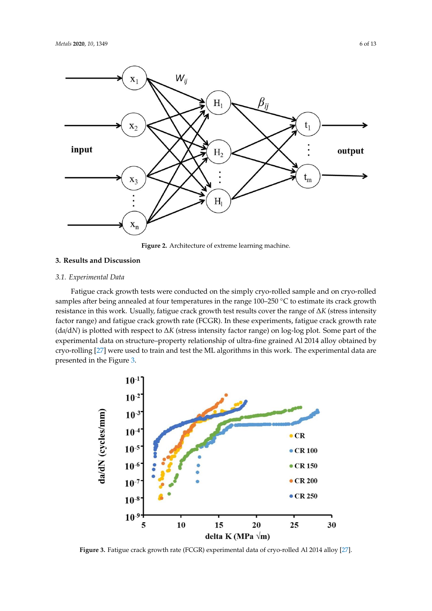

**Figure 2.** Architecture of extreme learning machine.

#### **3. Results and Discussion**

## *3.1. Experimental Data*

() = 1 factor range) and fatigue crack growth rate (FCGR). In these experiments, fatigue crack growth rate 1 + (d*a*/d*N*) is plotted with respect to ∆*K* (stress intensity factor range) on log-log plot. Some part of the (a) and the process of the contract of the contract of the contract of the contract of the contract of the experimental data on structure–property relationship of ultra-fine grained Al 2014 alloy obtained by + − cryo-rolling [27] were used to train and test the ML algorithms in this work. The experimental data are Fatigue crack growth tests were conducted on the simply cryo-rolled sample and on cryo-rolled samples after being annealed at four temperatures in the range 100–250 °C to estimate its crack growth resistance in this work. Usually, fatigue crack growth test results cover the range of ∆*K* (stress intensity presented in the Figure 3.



**Figure 3.** Fatigue crack growth rate (FCGR) experimental data of cryo-rolled Al 2014 alloy [27].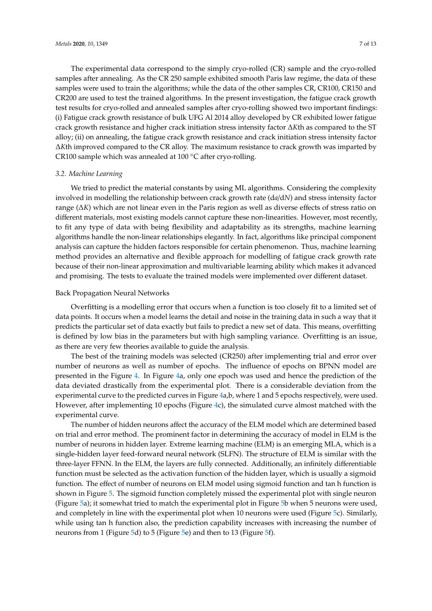The experimental data correspond to the simply cryo-rolled (CR) sample and the cryo-rolled samples after annealing. As the CR 250 sample exhibited smooth Paris law regime, the data of these samples were used to train the algorithms; while the data of the other samples CR, CR100, CR150 and CR200 are used to test the trained algorithms. In the present investigation, the fatigue crack growth test results for cryo-rolled and annealed samples after cryo-rolling showed two important findings: (i) Fatigue crack growth resistance of bulk UFG Al 2014 alloy developed by CR exhibited lower fatigue crack growth resistance and higher crack initiation stress intensity factor ∆*K*th as compared to the ST alloy; (ii) on annealing, the fatigue crack growth resistance and crack initiation stress intensity factor ∆*K*th improved compared to the CR alloy. The maximum resistance to crack growth was imparted by CR100 sample which was annealed at 100 ◦C after cryo-rolling.

## *3.2. Machine Learning*

We tried to predict the material constants by using ML algorithms. Considering the complexity involved in modelling the relationship between crack growth rate (d*a*/d*N*) and stress intensity factor range (∆*K*) which are not linear even in the Paris region as well as diverse effects of stress ratio on different materials, most existing models cannot capture these non-linearities. However, most recently, to fit any type of data with being flexibility and adaptability as its strengths, machine learning algorithms handle the non-linear relationships elegantly. In fact, algorithms like principal component analysis can capture the hidden factors responsible for certain phenomenon. Thus, machine learning method provides an alternative and flexible approach for modelling of fatigue crack growth rate because of their non-linear approximation and multivariable learning ability which makes it advanced and promising. The tests to evaluate the trained models were implemented over different dataset.

## Back Propagation Neural Networks

Overfitting is a modelling error that occurs when a function is too closely fit to a limited set of data points. It occurs when a model learns the detail and noise in the training data in such a way that it predicts the particular set of data exactly but fails to predict a new set of data. This means, overfitting is defined by low bias in the parameters but with high sampling variance. Overfitting is an issue, as there are very few theories available to guide the analysis.

The best of the training models was selected (CR250) after implementing trial and error over number of neurons as well as number of epochs. The influence of epochs on BPNN model are presented in the Figure 4. In Figure 4a, only one epoch was used and hence the prediction of the data deviated drastically from the experimental plot. There is a considerable deviation from the experimental curve to the predicted curves in Figure 4a,b, where 1 and 5 epochs respectively, were used. However, after implementing 10 epochs (Figure 4c), the simulated curve almost matched with the experimental curve.

The number of hidden neurons affect the accuracy of the ELM model which are determined based on trial and error method. The prominent factor in determining the accuracy of model in ELM is the number of neurons in hidden layer. Extreme learning machine (ELM) is an emerging MLA, which is a single-hidden layer feed-forward neural network (SLFN). The structure of ELM is similar with the three-layer FFNN. In the ELM, the layers are fully connected. Additionally, an infinitely differentiable function must be selected as the activation function of the hidden layer, which is usually a sigmoid function. The effect of number of neurons on ELM model using sigmoid function and tan h function is shown in Figure 5. The sigmoid function completely missed the experimental plot with single neuron (Figure 5a); it somewhat tried to match the experimental plot in Figure 5b when 5 neurons were used, and completely in line with the experimental plot when 10 neurons were used (Figure 5c). Similarly, while using tan h function also, the prediction capability increases with increasing the number of neurons from 1 (Figure 5d) to 5 (Figure 5e) and then to 13 (Figure 5f).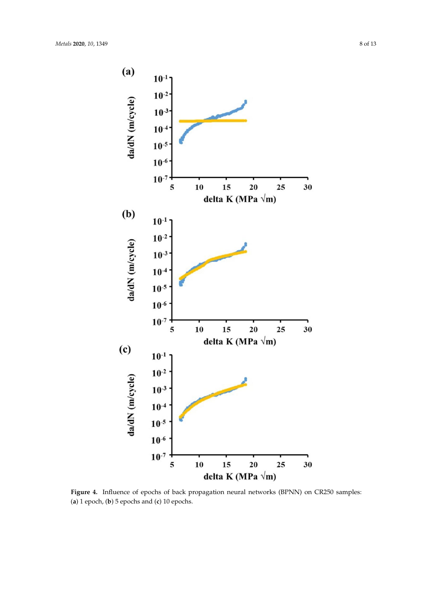

**Figure 4.** Influence of epochs of back propagation neural networks (BPNN) on CR250 samples: (**a**) 1 epoch, (**b**) 5 epochs and (**c**) 10 epochs.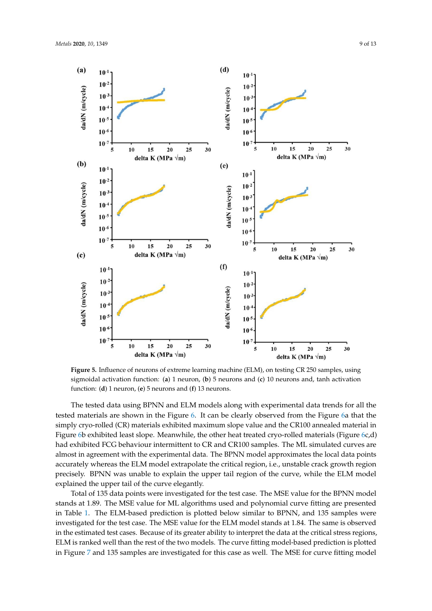

**Figure 5.** Influence of neurons of extreme learning machine (ELM), on testing CR 250 samples, using sigmoidal activation function: (**a**) 1 neuron, (**b**) 5 neurons and (**c**) 10 neurons and, tanh activation function: (**d**) 1 neuron, (**e**) 5 neurons and (**f**) 13 neurons.

The tested data using BPNN and ELM models along with experimental data trends for all the tested materials are shown in the Figure 6. It can be clearly observed from the Figure 6a that the simply cryo-rolled (CR) materials exhibited maximum slope value and the CR100 annealed material in Figure 6b exhibited least slope. Meanwhile, the other heat treated cryo-rolled materials (Figure 6c,d) had exhibited FCG behaviour intermittent to CR and CR100 samples. The ML simulated curves are almost in agreement with the experimental data. The BPNN model approximates the local data points accurately whereas the ELM model extrapolate the critical region, i.e., unstable crack growth region precisely. BPNN was unable to explain the upper tail region of the curve, while the ELM model explained the upper tail of the curve elegantly.

Total of 135 data points were investigated for the test case. The MSE value for the BPNN model stands at 1.89. The MSE value for ML algorithms used and polynomial curve fitting are presented in Table 1. The ELM-based prediction is plotted below similar to BPNN, and 135 samples were investigated for the test case. The MSE value for the ELM model stands at 1.84. The same is observed in the estimated test cases. Because of its greater ability to interpret the data at the critical stress regions, ELM is ranked well than the rest of the two models. The curve fitting model-based prediction is plotted in Figure 7 and 135 samples are investigated for this case as well. The MSE for curve fitting model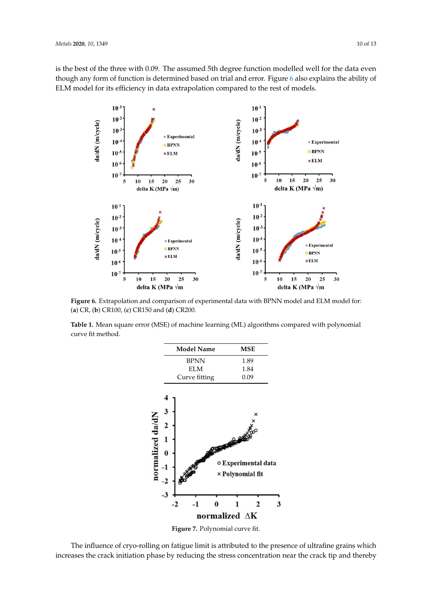is the best of the three with 0.09. The assumed 5th degree function modelled well for the data even though any form of function is determined based on trial and error. Figure 6 also explains the ability of ELM model for its efficiency in data extrapolation compared to the rest of models.



**Figure 6.** Extrapolation and comparison of experimental data with BPNN model and ELM model for: (**a**) CR, (**b**) CR100, (**c**) CR150 and (**d**) CR200.

**Table 1.** Mean square error (MSE) of machine learning (ML) algorithms compared with polynomial curve fit method.



**Figure 7.** Polynomial curve fit.

The influence of cryo-rolling on fatigue limit is attributed to the presence of ultrafine grains which increases the crack initiation phase by reducing the stress concentration near the crack tip and thereby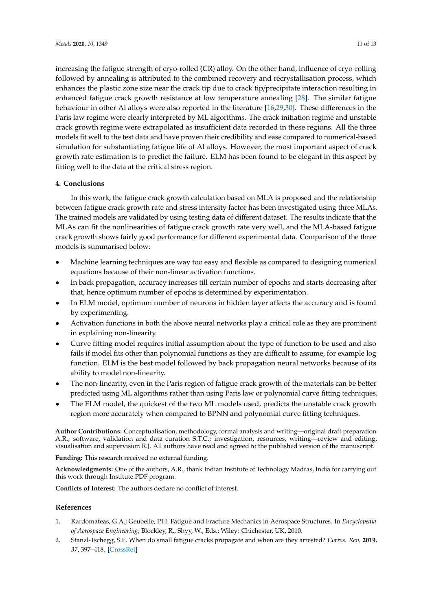increasing the fatigue strength of cryo-rolled (CR) alloy. On the other hand, influence of cryo-rolling followed by annealing is attributed to the combined recovery and recrystallisation process, which enhances the plastic zone size near the crack tip due to crack tip/precipitate interaction resulting in enhanced fatigue crack growth resistance at low temperature annealing [28]. The similar fatigue behaviour in other Al alloys were also reported in the literature [16,29,30]. These differences in the Paris law regime were clearly interpreted by ML algorithms. The crack initiation regime and unstable crack growth regime were extrapolated as insufficient data recorded in these regions. All the three models fit well to the test data and have proven their credibility and ease compared to numerical-based simulation for substantiating fatigue life of Al alloys. However, the most important aspect of crack growth rate estimation is to predict the failure. ELM has been found to be elegant in this aspect by fitting well to the data at the critical stress region.

## **4. Conclusions**

In this work, the fatigue crack growth calculation based on MLA is proposed and the relationship between fatigue crack growth rate and stress intensity factor has been investigated using three MLAs. The trained models are validated by using testing data of different dataset. The results indicate that the MLAs can fit the nonlinearities of fatigue crack growth rate very well, and the MLA-based fatigue crack growth shows fairly good performance for different experimental data. Comparison of the three models is summarised below:

- Machine learning techniques are way too easy and flexible as compared to designing numerical equations because of their non-linear activation functions.
- In back propagation, accuracy increases till certain number of epochs and starts decreasing after that, hence optimum number of epochs is determined by experimentation.
- In ELM model, optimum number of neurons in hidden layer affects the accuracy and is found by experimenting.
- Activation functions in both the above neural networks play a critical role as they are prominent in explaining non-linearity.
- Curve fitting model requires initial assumption about the type of function to be used and also fails if model fits other than polynomial functions as they are difficult to assume, for example log function. ELM is the best model followed by back propagation neural networks because of its ability to model non-linearity.
- The non-linearity, even in the Paris region of fatigue crack growth of the materials can be better predicted using ML algorithms rather than using Paris law or polynomial curve fitting techniques.
- The ELM model, the quickest of the two ML models used, predicts the unstable crack growth region more accurately when compared to BPNN and polynomial curve fitting techniques.

**Author Contributions:** Conceptualisation, methodology, formal analysis and writing—original draft preparation A.R.; software, validation and data curation S.T.C.; investigation, resources, writing—review and editing, visualisation and supervision R.J. All authors have read and agreed to the published version of the manuscript.

**Funding:** This research received no external funding.

**Acknowledgments:** One of the authors, A.R., thank Indian Institute of Technology Madras, India for carrying out this work through Institute PDF program.

**Conflicts of Interest:** The authors declare no conflict of interest.

## **References**

- 1. Kardomateas, G.A.; Geubelle, P.H. Fatigue and Fracture Mechanics in Aerospace Structures. In *Encyclopedia of Aerospace Engineering*; Blockley, R., Shyy, W., Eds.; Wiley: Chichester, UK, 2010.
- 2. Stanzl-Tschegg, S.E. When do small fatigue cracks propagate and when are they arrested? *Corros. Rev.* **2019**, *37*, 397–418. [CrossRef]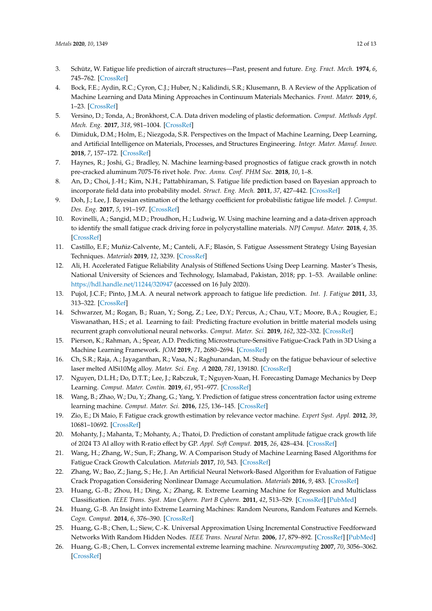- 3. Schütz, W. Fatigue life prediction of aircraft structures—Past, present and future. *Eng. Fract. Mech.* **1974**, *6*, 745–762. [CrossRef]
- 4. Bock, F.E.; Aydin, R.C.; Cyron, C.J.; Huber, N.; Kalidindi, S.R.; Klusemann, B. A Review of the Application of Machine Learning and Data Mining Approaches in Continuum Materials Mechanics. *Front. Mater.* **2019**, *6*, 1–23. [CrossRef]
- 5. Versino, D.; Tonda, A.; Bronkhorst, C.A. Data driven modeling of plastic deformation. *Comput. Methods Appl. Mech. Eng.* **2017**, *318*, 981–1004. [CrossRef]
- 6. Dimiduk, D.M.; Holm, E.; Niezgoda, S.R. Perspectives on the Impact of Machine Learning, Deep Learning, and Artificial Intelligence on Materials, Processes, and Structures Engineering. *Integr. Mater. Manuf. Innov.* **2018**, *7*, 157–172. [CrossRef]
- 7. Haynes, R.; Joshi, G.; Bradley, N. Machine learning-based prognostics of fatigue crack growth in notch pre-cracked aluminum 7075-T6 rivet hole. *Proc. Annu. Conf. PHM Soc.* **2018**, *10*, 1–8.
- 8. An, D.; Choi, J.-H.; Kim, N.H.; Pattabhiraman, S. Fatigue life prediction based on Bayesian approach to incorporate field data into probability model. *Struct. Eng. Mech.* **2011**, *37*, 427–442. [CrossRef]
- 9. Doh, J.; Lee, J. Bayesian estimation of the lethargy coefficient for probabilistic fatigue life model. *J. Comput. Des. Eng.* **2017**, *5*, 191–197. [CrossRef]
- 10. Rovinelli, A.; Sangid, M.D.; Proudhon, H.; Ludwig, W. Using machine learning and a data-driven approach to identify the small fatigue crack driving force in polycrystalline materials. *NPJ Comput. Mater.* **2018**, *4*, 35. [CrossRef]
- 11. Castillo, E.F.; Muñiz-Calvente, M.; Canteli, A.F.; Blasón, S. Fatigue Assessment Strategy Using Bayesian Techniques. *Materials* **2019**, *12*, 3239. [CrossRef]
- 12. Ali, H. Accelerated Fatigue Reliability Analysis of Stiffened Sections Using Deep Learning. Master's Thesis, National University of Sciences and Technology, Islamabad, Pakistan, 2018; pp. 1–53. Available online: https://hdl.handle.net/11244/320947 (accessed on 16 July 2020).
- 13. Pujol, J.C.F.; Pinto, J.M.A. A neural network approach to fatigue life prediction. *Int. J. Fatigue* **2011**, *33*, 313–322. [CrossRef]
- 14. Schwarzer, M.; Rogan, B.; Ruan, Y.; Song, Z.; Lee, D.Y.; Percus, A.; Chau, V.T.; Moore, B.A.; Rougier, E.; Viswanathan, H.S.; et al. Learning to fail: Predicting fracture evolution in brittle material models using recurrent graph convolutional neural networks. *Comput. Mater. Sci.* **2019**, *162*, 322–332. [CrossRef]
- 15. Pierson, K.; Rahman, A.; Spear, A.D. Predicting Microstructure-Sensitive Fatigue-Crack Path in 3D Using a Machine Learning Framework. *JOM* **2019**, *71*, 2680–2694. [CrossRef]
- 16. Ch, S.R.; Raja, A.; Jayaganthan, R.; Vasa, N.; Raghunandan, M. Study on the fatigue behaviour of selective laser melted AlSi10Mg alloy. *Mater. Sci. Eng. A* **2020**, *781*, 139180. [CrossRef]
- 17. Nguyen, D.L.H.; Do, D.T.T.; Lee, J.; Rabczuk, T.; Nguyen-Xuan, H. Forecasting Damage Mechanics by Deep Learning. *Comput. Mater. Contin.* **2019**, *61*, 951–977. [CrossRef]
- 18. Wang, B.; Zhao, W.; Du, Y.; Zhang, G.; Yang, Y. Prediction of fatigue stress concentration factor using extreme learning machine. *Comput. Mater. Sci.* **2016**, *125*, 136–145. [CrossRef]
- 19. Zio, E.; Di Maio, F. Fatigue crack growth estimation by relevance vector machine. *Expert Syst. Appl.* **2012**, *39*, 10681–10692. [CrossRef]
- 20. Mohanty, J.; Mahanta, T.; Mohanty, A.; Thatoi, D. Prediction of constant amplitude fatigue crack growth life of 2024 T3 Al alloy with R-ratio effect by GP. *Appl. Soft Comput.* **2015**, *26*, 428–434. [CrossRef]
- 21. Wang, H.; Zhang, W.; Sun, F.; Zhang, W. A Comparison Study of Machine Learning Based Algorithms for Fatigue Crack Growth Calculation. *Materials* **2017**, *10*, 543. [CrossRef]
- 22. Zhang, W.; Bao, Z.; Jiang, S.; He, J. An Artificial Neural Network-Based Algorithm for Evaluation of Fatigue Crack Propagation Considering Nonlinear Damage Accumulation. *Materials* **2016**, *9*, 483. [CrossRef]
- 23. Huang, G.-B.; Zhou, H.; Ding, X.; Zhang, R. Extreme Learning Machine for Regression and Multiclass Classification. *IEEE Trans. Syst. Man Cybern. Part B Cybern.* **2011**, *42*, 513–529. [CrossRef] [PubMed]
- 24. Huang, G.-B. An Insight into Extreme Learning Machines: Random Neurons, Random Features and Kernels. *Cogn. Comput.* **2014**, *6*, 376–390. [CrossRef]
- 25. Huang, G.-B.; Chen, L.; Siew, C.-K. Universal Approximation Using Incremental Constructive Feedforward Networks With Random Hidden Nodes. *IEEE Trans. Neural Netw.* **2006**, *17*, 879–892. [CrossRef] [PubMed]
- 26. Huang, G.-B.; Chen, L. Convex incremental extreme learning machine. *Neurocomputing* **2007**, *70*, 3056–3062. [CrossRef]